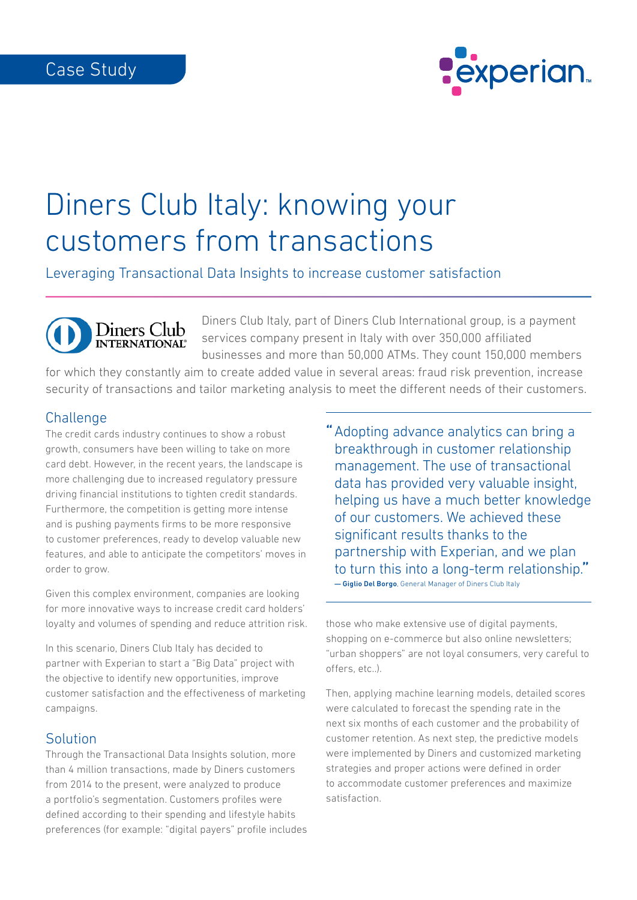

# Diners Club Italy: knowing your customers from transactions

Leveraging Transactional Data Insights to increase customer satisfaction

Diners Club Italy, part of Diners Club International group, is a payment services company present in Italy with over 350,000 affiliated businesses and more than 50,000 ATMs. They count 150,000 members

for which they constantly aim to create added value in several areas: fraud risk prevention, increase security of transactions and tailor marketing analysis to meet the different needs of their customers.

### **Challenge**

The credit cards industry continues to show a robust growth, consumers have been willing to take on more card debt. However, in the recent years, the landscape is more challenging due to increased regulatory pressure driving financial institutions to tighten credit standards. Furthermore, the competition is getting more intense and is pushing payments firms to be more responsive to customer preferences, ready to develop valuable new features, and able to anticipate the competitors' moves in order to grow.

Diners Club<br> **INTERNATIONAL** 

Given this complex environment, companies are looking for more innovative ways to increase credit card holders' loyalty and volumes of spending and reduce attrition risk.

In this scenario, Diners Club Italy has decided to partner with Experian to start a "Big Data" project with the objective to identify new opportunities, improve customer satisfaction and the effectiveness of marketing campaigns.

#### **Solution**

Through the Transactional Data Insights solution, more than 4 million transactions, made by Diners customers from 2014 to the present, were analyzed to produce a portfolio's segmentation. Customers profiles were defined according to their spending and lifestyle habits preferences (for example: "digital payers" profile includes " Adopting advance analytics can bring a breakthrough in customer relationship management. The use of transactional data has provided very valuable insight, helping us have a much better knowledge of our customers. We achieved these significant results thanks to the partnership with Experian, and we plan to turn this into a long-term relationship." — Giglio Del Borgo, General Manager of Diners Club Italy

those who make extensive use of digital payments, shopping on e-commerce but also online newsletters; "urban shoppers" are not loyal consumers, very careful to offers, etc..).

Then, applying machine learning models, detailed scores were calculated to forecast the spending rate in the next six months of each customer and the probability of customer retention. As next step, the predictive models were implemented by Diners and customized marketing strategies and proper actions were defined in order to accommodate customer preferences and maximize satisfaction.